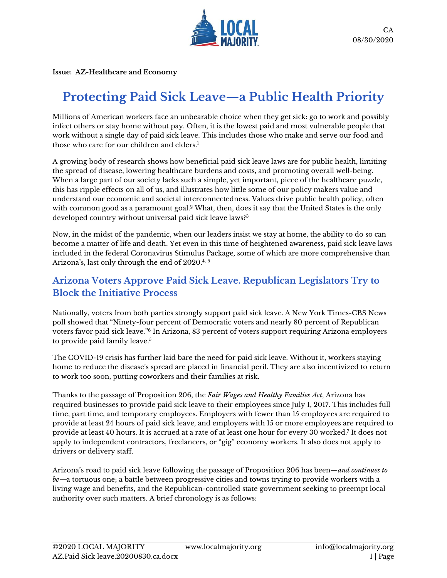

**Issue: AZ-Healthcare and Economy**

# **Protecting Paid Sick Leave—a Public Health Priority**

Millions of American workers face an unbearable choice when they get sick: go to work and possibly infect others or stay home without pay. Often, it is the lowest paid and most vulnerable people that work without a single day of paid sick leave. This includes those who make and serve our food and those who care for our children and elders.<sup>1</sup>

A growing body of research shows how beneficial paid sick leave laws are for public health, limiting the spread of disease, lowering healthcare burdens and costs, and promoting overall well-being. When a large part of our society lacks such a simple, yet important, piece of the healthcare puzzle, this has ripple effects on all of us, and illustrates how little some of our policy makers value and understand our economic and societal interconnectedness. Values drive public health policy, often with common good as a paramount goal.<sup>2</sup> What, then, does it say that the United States is the only developed country without universal paid sick leave laws?<sup>3</sup>

Now, in the midst of the pandemic, when our leaders insist we stay at home, the ability to do so can become a matter of life and death. Yet even in this time of heightened awareness, paid sick leave laws included in the federal Coronavirus Stimulus Package, some of which are more comprehensive than Arizona's, last only through the end of 2020.<sup>4, 5</sup>

# **Arizona Voters Approve Paid Sick Leave. Republican Legislators Try to Block the Initiative Process**

Nationally, voters from both parties strongly support paid sick leave. A New York Times-CBS News poll showed that "Ninety-four percent of Democratic voters and nearly 80 percent of Republican voters favor paid sick leave."<sup>6</sup> In Arizona, 83 percent of voters support requiring Arizona employers to provide paid family leave.<sup>5</sup>

The COVID-19 crisis has further laid bare the need for paid sick leave. Without it, workers staying home to reduce the disease's spread are placed in financial peril. They are also incentivized to return to work too soon, putting coworkers and their families at risk.

Thanks to the passage of Proposition 206, the *Fair Wages and Healthy Families Act*, Arizona has required businesses to provide paid sick leave to their employees since July 1, 2017. This includes full time, part time, and temporary employees. Employers with fewer than 15 employees are required to provide at least 24 hours of paid sick leave, and employers with 15 or more employees are required to provide at least 40 hours. It is accrued at a rate of at least one hour for every 30 worked.<sup>7</sup> It does not apply to independent contractors, freelancers, or "gig" economy workers. It also does not apply to drivers or delivery staff.

Arizona's road to paid sick leave following the passage of Proposition 206 has been*—and continues to be***—**a tortuous one; a battle between progressive cities and towns trying to provide workers with a living wage and benefits, and the Republican-controlled state government seeking to preempt local authority over such matters. A brief chronology is as follows: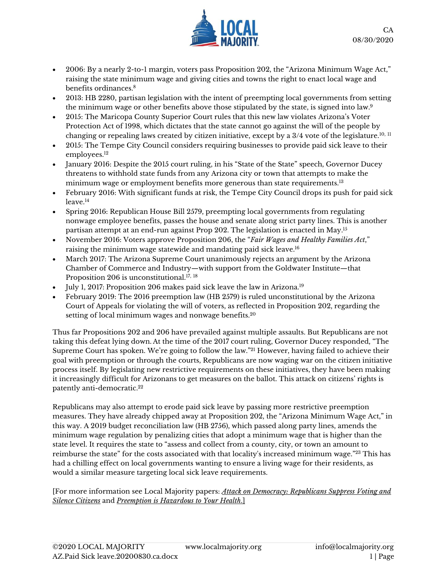

- 2006: By a nearly 2-to-1 margin, voters pass Proposition 202, the "Arizona Minimum Wage Act," raising the state minimum wage and giving cities and towns the right to enact local wage and benefits ordinances.<sup>8</sup>
- 2013: HB 2280, partisan legislation with the intent of preempting local governments from setting the minimum wage or other benefits above those stipulated by the state, is signed into law.<sup>9</sup>
- 2015: The Maricopa County Superior Court rules that this new law violates Arizona's Voter Protection Act of 1998, which dictates that the state cannot go against the will of the people by changing or repealing laws created by citizen initiative, except by a  $3/4$  vote of the legislature.<sup>10, 11</sup>
- 2015: The Tempe City Council considers requiring businesses to provide paid sick leave to their employees.<sup>12</sup>
- January 2016: Despite the 2015 court ruling, in his "State of the State" speech, Governor Ducey threatens to withhold state funds from any Arizona city or town that attempts to make the minimum wage or employment benefits more generous than state requirements.<sup>13</sup>
- February 2016: With significant funds at risk, the Tempe City Council drops its push for paid sick leave.<sup>14</sup>
- Spring 2016: Republican House Bill 2579, preempting local governments from regulating nonwage employee benefits, passes the house and senate along strict party lines. This is another partisan attempt at an end-run against Prop 202. The legislation is enacted in May.<sup>15</sup>
- November 2016: Voters approve Proposition 206, the "*Fair Wages and Healthy Families Act*," raising the minimum wage statewide and mandating paid sick leave.<sup>16</sup>
- March 2017: The Arizona Supreme Court unanimously rejects an argument by the Arizona Chamber of Commerce and Industry—with support from the Goldwater Institute—that Proposition 206 is unconstitutional.<sup>17, 18</sup>
- July 1, 2017: Proposition 206 makes paid sick leave the law in Arizona.<sup>19</sup>
- February 2019: The 2016 preemption law (HB 2579) is ruled unconstitutional by the Arizona Court of Appeals for violating the will of voters, as reflected in Proposition 202, regarding the setting of local minimum wages and nonwage benefits.<sup>20</sup>

Thus far Propositions 202 and 206 have prevailed against multiple assaults. But Republicans are not taking this defeat lying down. At the time of the 2017 court ruling, Governor Ducey responded, "The Supreme Court has spoken. We're going to follow the law."<sup>21</sup> However, having failed to achieve their goal with preemption or through the courts, Republicans are now waging war on the citizen initiative process itself. By legislating new restrictive requirements on these initiatives, they have been making it increasingly difficult for Arizonans to get measures on the ballot. This attack on citizens' rights is patently anti-democratic. 22

Republicans may also attempt to erode paid sick leave by passing more restrictive preemption measures. They have already chipped away at Proposition 202, the "Arizona Minimum Wage Act," in this way. A 2019 budget reconciliation law (HB 2756), which passed along party lines, amends the minimum wage regulation by penalizing cities that adopt a minimum wage that is higher than the state level. It requires the state to "assess and collect from a county, city, or town an amount to reimburse the state" for the costs associated with that locality's increased minimum wage." <sup>23</sup> This has had a chilling effect on local governments wanting to ensure a living wage for their residents, as would a similar measure targeting local sick leave requirements.

[For more information see Local Majority papers: *Attack on Democracy: [Republicans](https://www.localmajority.org/wp-content/uploads/2020/06/AZ.Voter_Suppression.060152020.KP_-1.pdf) Suppress Voting and Silence [Citizens](https://www.localmajority.org/wp-content/uploads/2020/06/AZ.Voter_Suppression.060152020.KP_-1.pdf)* and *[Preemption](https://www.localmajority.org/wp-content/uploads/2020/08/AZ.Preemption_PublicHealth.20200818.PG_.EL_.jr_.pdf) is Hazardous to Your Health*.]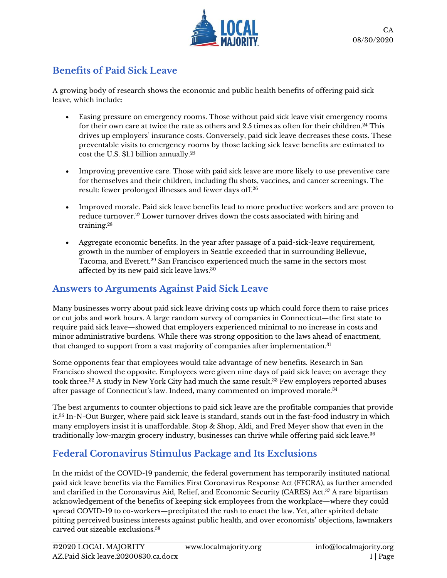

# **Benefits of Paid Sick Leave**

A growing body of research shows the economic and public health benefits of offering paid sick leave, which include:

- Easing pressure on emergency rooms. Those without paid sick leave visit emergency rooms for their own care at twice the rate as others and 2.5 times as often for their children.<sup>24</sup> This drives up employers' insurance costs. Conversely, paid sick leave decreases these costs. These preventable visits to emergency rooms by those lacking sick leave benefits are estimated to cost the U.S. \$1.1 billion annually.<sup>25</sup>
- Improving preventive care. Those with paid sick leave are more likely to use preventive care for themselves and their children, including flu shots, vaccines, and cancer screenings. The result: fewer prolonged illnesses and fewer days off.<sup>26</sup>
- Improved morale. Paid sick leave benefits lead to more productive workers and are proven to reduce turnover. <sup>27</sup> Lower turnover drives down the costs associated with hiring and training.<sup>28</sup>
- Aggregate economic benefits. In the year after passage of a paid-sick-leave requirement, growth in the number of employers in Seattle exceeded that in surrounding Bellevue, Tacoma, and Everett.<sup>29</sup> San Francisco experienced much the same in the sectors most affected by its new paid sick leave laws.<sup>30</sup>

# **Answers to Arguments Against Paid Sick Leave**

Many businesses worry about paid sick leave driving costs up which could force them to raise prices or cut jobs and work hours. A large random survey of companies in Connecticut—the first state to require paid sick leave—showed that employers experienced minimal to no increase in costs and minor administrative burdens. While there was strong opposition to the laws ahead of enactment, that changed to support from a vast majority of companies after implementation.<sup>31</sup>

Some opponents fear that employees would take advantage of new benefits. Research in San Francisco showed the opposite. Employees were given nine days of paid sick leave; on average they took three.<sup>32</sup> A study in New York City had much the same result.<sup>33</sup> Few employers reported abuses after passage of Connecticut's law. Indeed, many commented on improved morale.<sup>34</sup>

The best arguments to counter objections to paid sick leave are the profitable companies that provide it.<sup>35</sup> In-N-Out Burger, where paid sick leave is standard, stands out in the fast-food industry in which many employers insist it is unaffordable. Stop & Shop, Aldi, and Fred Meyer show that even in the traditionally low-margin grocery industry, businesses can thrive while offering paid sick leave.<sup>36</sup>

# **Federal Coronavirus Stimulus Package and Its Exclusions**

In the midst of the COVID-19 pandemic, the federal government has temporarily instituted national paid sick leave benefits via the Families First Coronavirus Response Act (FFCRA), as further amended and clarified in the Coronavirus Aid, Relief, and Economic Security (CARES) Act.<sup>37</sup> A rare bipartisan acknowledgement of the benefits of keeping sick employees from the workplace—where they could spread COVID-19 to co-workers—precipitated the rush to enact the law. Yet, after spirited debate pitting perceived business interests against public health, and over economists' objections, lawmakers carved out sizeable exclusions.<sup>38</sup>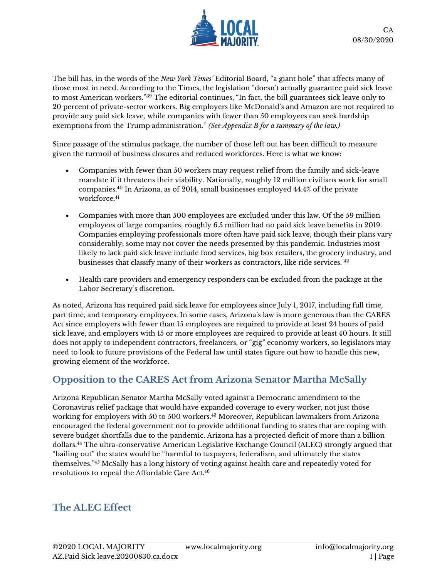

The bill has, in the words of the *New York Times'* Editorial Board, "a giant hole" that affects many of those most in need. According to the Times, the legislation "doesn't actually guarantee paid sick leave to most American workers."<sup>39</sup> The editorial continues, "In fact, the bill guarantees sick leave only to 20 percent of private-sector workers. Big employers like McDonald's and Amazon are not required to provide any paid sick leave, while companies with fewer than 50 employees can seek hardship exemptions from the Trump administration." *(See Appendix B for a summary of the law.)*

Since passage of the stimulus package, the number of those left out has been difficult to measure given the turmoil of business closures and reduced workforces. Here is what we know:

- Companies with fewer than 50 workers may request relief from the family and sick-leave mandate if it threatens their viability. Nationally, roughly 12 million civilians work for small companies.<sup>40</sup> In Arizona, as of 2014, small businesses employed 44.4% of the private workforce<sup>41</sup>
- Companies with more than 500 employees are excluded under this law. Of the 59 million employees of large companies, roughly 6.5 million had no paid sick leave benefits in 2019. Companies employing professionals more often have paid sick leave, though their plans vary considerably; some may not cover the needs presented by this pandemic. Industries most likely to lack paid sick leave include food services, big box retailers, the grocery industry, and businesses that classify many of their workers as contractors, like ride services. <sup>42</sup>
- Health care providers and emergency responders can be excluded from the package at the Labor Secretary's discretion.

As noted, Arizona has required paid sick leave for employees since July 1, 2017, including full time, part time, and temporary employees. In some cases, Arizona's law is more generous than the CARES Act since employers with fewer than 15 employees are required to provide at least 24 hours of paid sick leave, and employers with 15 or more employees are required to provide at least 40 hours. It still does not apply to independent contractors, freelancers, or "gig" economy workers, so legislators may need to look to future provisions of the Federal law until states figure out how to handle this new, growing element of the workforce.

# **Opposition to the CARES Act from Arizona Senator Martha McSally**

Arizona Republican Senator Martha McSally voted against a Democratic amendment to the Coronavirus relief package that would have expanded coverage to every worker, not just those working for employers with 50 to 500 workers.<sup>43</sup> Moreover, Republican lawmakers from Arizona encouraged the federal government not to provide additional funding to states that are coping with severe budget shortfalls due to the pandemic. Arizona has a projected deficit of more than a billion dollars.<sup>44</sup> The ultra-conservative American Legislative Exchange Council (ALEC) strongly argued that "bailing out" the states would be "harmful to taxpayers, federalism, and ultimately the states themselves."<sup>45</sup> McSally has a long history of voting against health care and repeatedly voted for resolutions to repeal the Affordable Care Act. 46

### **The ALEC Effect**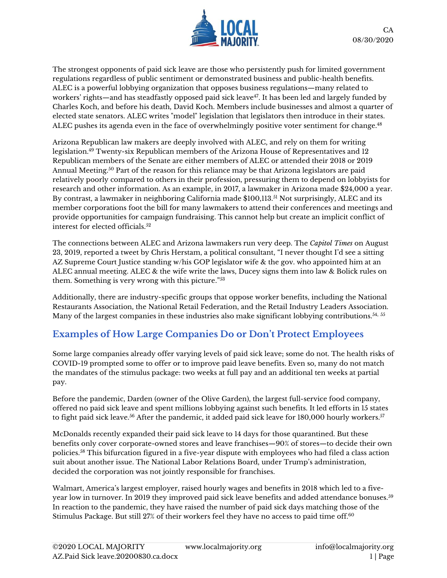

The strongest opponents of paid sick leave are those who persistently push for limited government regulations regardless of public sentiment or demonstrated business and public-health benefits. ALEC is a powerful lobbying organization that opposes business regulations—many related to workers' rights—and has steadfastly opposed paid sick leave<sup>47</sup>. It has been led and largely funded by Charles Koch, and before his death, David Koch. Members include businesses and almost a quarter of elected state senators. ALEC writes "model" legislation that legislators then introduce in their states. ALEC pushes its agenda even in the face of overwhelmingly positive voter sentiment for change.<sup>48</sup>

Arizona Republican law makers are deeply involved with ALEC, and rely on them for writing legislation.<sup>49</sup> Twenty-six Republican members of the Arizona House of Representatives and 12 Republican members of the Senate are either members of ALEC or attended their 2018 or 2019 Annual Meeting.<sup>50</sup> Part of the reason for this reliance may be that Arizona legislators are paid relatively poorly compared to others in their profession, pressuring them to depend on lobbyists for research and other information. As an example, in 2017, a lawmaker in Arizona made \$24,000 a year. By contrast, a lawmaker in neighboring California made \$100,113.<sup>51</sup> Not surprisingly, ALEC and its member corporations foot the bill for many lawmakers to attend their conferences and meetings and provide opportunities for campaign fundraising. This cannot help but create an implicit conflict of interest for elected officials.<sup>52</sup>

The connections between ALEC and Arizona lawmakers run very deep. The *Capitol Times* on August 23, 2019, reported a tweet by Chris Herstam, a political consultant, "I never thought I'd see a sitting AZ Supreme Court Justice standing w/his GOP legislator wife & the gov. who appointed him at an ALEC annual meeting. ALEC & the wife write the laws, Ducey signs them into law & Bolick rules on them. Something is very wrong with this picture." 53

Additionally, there are industry-specific groups that oppose worker benefits, including the National Restaurants Association, the National Retail Federation, and the Retail Industry Leaders Association. Many of the largest companies in these industries also make significant lobbying contributions.<sup>54, 55</sup>

# **Examples of How Large Companies Do or Don't Protect Employees**

Some large companies already offer varying levels of paid sick leave; some do not. The health risks of COVID-19 prompted some to offer or to improve paid leave benefits. Even so, many do not match the mandates of the stimulus package: two weeks at full pay and an additional ten weeks at partial pay.

Before the pandemic, Darden (owner of the Olive Garden), the largest full-service food company, offered no paid sick leave and spent millions lobbying against such benefits. It led efforts in 15 states to fight paid sick leave. $^{56}$  After the pandemic, it added paid sick leave for 180,000 hourly workers. $^{57}$ 

McDonalds recently expanded their paid sick leave to 14 days for those quarantined. But these benefits only cover corporate-owned stores and leave franchises—90% of stores—to decide their own policies. <sup>58</sup> This bifurcation figured in a five-year dispute with employees who had filed a class action suit about another issue. The National Labor Relations Board, under Trump's administration, decided the corporation was not jointly responsible for franchises.

Walmart, America's largest employer, raised hourly wages and benefits in 2018 which led to a fiveyear low in turnover. In 2019 they improved paid sick leave benefits and added attendance bonuses.<sup>59</sup> In reaction to the pandemic, they have raised the number of paid sick days matching those of the Stimulus Package. But still 27% of their workers feel they have no access to paid time off.<sup>60</sup>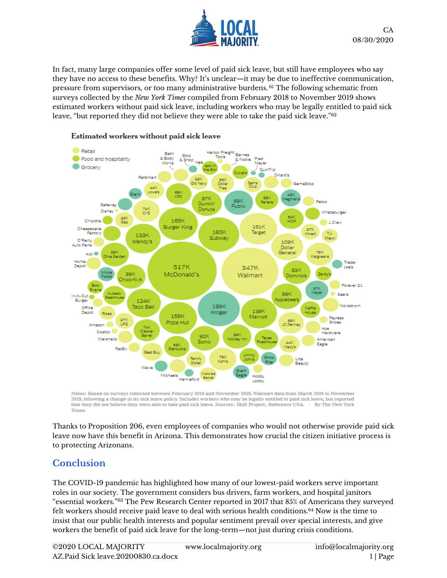

In fact, many large companies offer some level of paid sick leave, but still have employees who say they have no access to these benefits. Why? It's unclear—it may be due to ineffective communication, pressure from supervisors, or too many administrative burdens. <sup>61</sup> The following schematic from surveys collected by the *New York Times* compiled from February 2018 to November 2019 shows estimated workers without paid sick leave, including workers who may be legally entitled to paid sick leave, "but reported they did not believe they were able to take the paid sick leave." $^{62}$ 



#### Estimated workers without paid sick leave

Notes: Based on surveys collected between February 2018 and November 2019. Walmart data from March 2019 to November 2019, following a change in its sick leave policy. Includes workers who may be legally entitled to paid sick leave, but reported that they did not believe they were able to take paid sick leave. Sources: Shift Project; Reference USA. . By The New York Times

Thanks to Proposition 206, even employees of companies who would not otherwise provide paid sick leave now have this benefit in Arizona. This demonstrates how crucial the citizen initiative process is to protecting Arizonans.

### **Conclusion**

The COVID-19 pandemic has highlighted how many of our lowest-paid workers serve important roles in our society. The government considers bus drivers, farm workers, and hospital janitors "essential workers." $^{63}$  The Pew Research Center reported in 2017 that 85% of Americans they surveyed felt workers should receive paid leave to deal with serious health conditions.<sup>64</sup> Now is the time to insist that our public health interests and popular sentiment prevail over special interests, and give workers the benefit of paid sick leave for the long-term—not just during crisis conditions.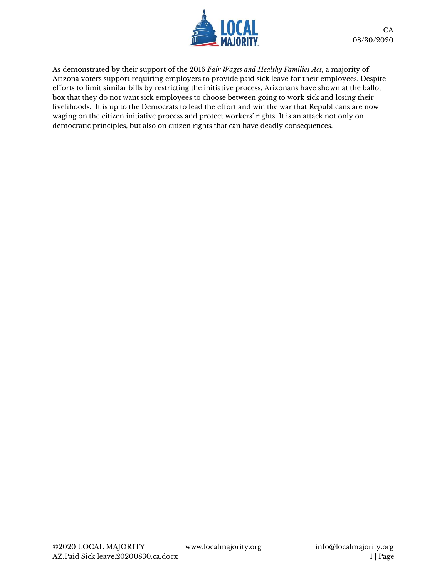

As demonstrated by their support of the 2016 *Fair Wages and Healthy Families Act*, a majority of Arizona voters support requiring employers to provide paid sick leave for their employees. Despite efforts to limit similar bills by restricting the initiative process, Arizonans have shown at the ballot box that they do not want sick employees to choose between going to work sick and losing their livelihoods. It is up to the Democrats to lead the effort and win the war that Republicans are now waging on the citizen initiative process and protect workers' rights. It is an attack not only on democratic principles, but also on citizen rights that can have deadly consequences.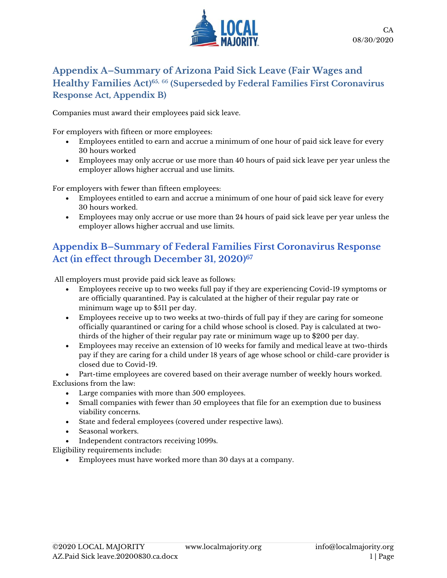

#### **Appendix A–Summary of Arizona Paid Sick Leave (Fair Wages and Healthy Families Act) 65,** <sup>66</sup> **(Superseded by Federal Families First Coronavirus Response Act, Appendix B)**

Companies must award their employees paid sick leave.

For employers with fifteen or more employees:

- Employees entitled to earn and accrue a minimum of one hour of paid sick leave for every 30 hours worked
- Employees may only accrue or use more than 40 hours of paid sick leave per year unless the employer allows higher accrual and use limits.

For employers with fewer than fifteen employees:

- Employees entitled to earn and accrue a minimum of one hour of paid sick leave for every 30 hours worked.
- Employees may only accrue or use more than 24 hours of paid sick leave per year unless the employer allows higher accrual and use limits.

# **Appendix B–Summary of Federal Families First Coronavirus Response Act (in effect through December 31, 2020) 67**

All employers must provide paid sick leave as follows:

- Employees receive up to two weeks full pay if they are experiencing Covid-19 symptoms or are officially quarantined. Pay is calculated at the higher of their regular pay rate or minimum wage up to \$511 per day.
- Employees receive up to two weeks at two-thirds of full pay if they are caring for someone officially quarantined or caring for a child whose school is closed. Pay is calculated at twothirds of the higher of their regular pay rate or minimum wage up to \$200 per day.
- Employees may receive an extension of 10 weeks for family and medical leave at two-thirds pay if they are caring for a child under 18 years of age whose school or child-care provider is closed due to Covid-19.

• Part-time employees are covered based on their average number of weekly hours worked. Exclusions from the law:

- Large companies with more than 500 employees.
- Small companies with fewer than 50 employees that file for an exemption due to business viability concerns.
- State and federal employees (covered under respective laws).
- Seasonal workers.
- Independent contractors receiving 1099s.

Eligibility requirements include:

• Employees must have worked more than 30 days at a company.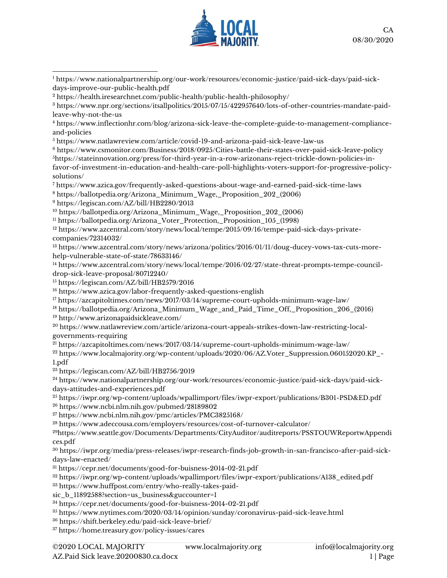

 [https://www.inflectionhr.com/blog/arizona-sick-leave-the-complete-guide-to-management-compliance](https://www.inflectionhr.com/blog/arizona-sick-leave-the-complete-guide-to-management-compliance-and-policies)[and-policies](https://www.inflectionhr.com/blog/arizona-sick-leave-the-complete-guide-to-management-compliance-and-policies)

<https://www.natlawreview.com/article/covid-19-and-arizona-paid-sick-leave-law-us>

 [https://www.csmonitor.com/Business/2018/0925/Cities-battle-their-states-over-paid-sick-leave-policy](about:blank) [https://stateinnovation.org/press/for-third-year-in-a-row-arizonans-reject-trickle-down-policies-in](https://stateinnovation.org/press/for-third-year-in-a-row-arizonans-reject-trickle-down-policies-in-favor-of-investment-in-education-and-health-care-poll-highlights-voters-support-for-progressive-policy-solutions/)[favor-of-investment-in-education-and-health-care-poll-highlights-voters-support-for-progressive-policy](https://stateinnovation.org/press/for-third-year-in-a-row-arizonans-reject-trickle-down-policies-in-favor-of-investment-in-education-and-health-care-poll-highlights-voters-support-for-progressive-policy-solutions/)[solutions/](https://stateinnovation.org/press/for-third-year-in-a-row-arizonans-reject-trickle-down-policies-in-favor-of-investment-in-education-and-health-care-poll-highlights-voters-support-for-progressive-policy-solutions/)

<https://www.azica.gov/frequently-asked-questions-about-wage-and-earned-paid-sick-time-laws>

[https://ballotpedia.org/Arizona\\_Minimum\\_Wage,\\_Proposition\\_202\\_\(2006\)](https://ballotpedia.org/Arizona_Minimum_Wage,_Proposition_202_(2006))

<https://legiscan.com/AZ/bill/HB2280/2013>

[https://ballotpedia.org/Arizona\\_Minimum\\_Wage,\\_Proposition\\_202\\_\(2006\)](https://ballotpedia.org/Arizona_Minimum_Wage,_Proposition_202_(2006))

[https://ballotpedia.org/Arizona\\_Voter\\_Protection,\\_Proposition\\_105\\_\(1998\)](https://ballotpedia.org/Arizona_Voter_Protection,_Proposition_105_(1998))

<sup>12</sup> [https://www.azcentral.com/story/news/local/tempe/2015/09/16/tempe-paid-sick-days-private](https://www.azcentral.com/story/news/local/tempe/2015/09/16/tempe-paid-sick-days-private-companies/72314032/)[companies/72314032/](https://www.azcentral.com/story/news/local/tempe/2015/09/16/tempe-paid-sick-days-private-companies/72314032/)

 [https://www.azcentral.com/story/news/arizona/politics/2016/01/11/doug-ducey-vows-tax-cuts-more](https://www.azcentral.com/story/news/arizona/politics/2016/01/11/doug-ducey-vows-tax-cuts-more-help-vulnerable-state-of-state/78633146/)[help-vulnerable-state-of-state/78633146/](https://www.azcentral.com/story/news/arizona/politics/2016/01/11/doug-ducey-vows-tax-cuts-more-help-vulnerable-state-of-state/78633146/)

<sup>14</sup> [https://www.azcentral.com/story/news/local/tempe/2016/02/27/state-threat-prompts-tempe-council](https://www.azcentral.com/story/news/local/tempe/2016/02/27/state-threat-prompts-tempe-council-drop-sick-leave-proposal/80712240/)[drop-sick-leave-proposal/80712240/](https://www.azcentral.com/story/news/local/tempe/2016/02/27/state-threat-prompts-tempe-council-drop-sick-leave-proposal/80712240/)

<https://legiscan.com/AZ/bill/HB2579/2016>

<https://www.azica.gov/labor-frequently-asked-questions-english>

<https://azcapitoltimes.com/news/2017/03/14/supreme-court-upholds-minimum-wage-law/>

 [https://ballotpedia.org/Arizona\\_Minimum\\_Wage\\_and\\_Paid\\_Time\\_Off,\\_Proposition\\_206\\_\(2016\)](https://ballotpedia.org/Arizona_Minimum_Wage_and_Paid_Time_Off,_Proposition_206_(2016)) <http://www.arizonapaidsickleave.com/>

 [https://www.natlawreview.com/article/arizona-court-appeals-strikes-down-law-restricting-local](https://www.natlawreview.com/article/arizona-court-appeals-strikes-down-law-restricting-local-governments-requiring)[governments-requiring](https://www.natlawreview.com/article/arizona-court-appeals-strikes-down-law-restricting-local-governments-requiring)

<https://azcapitoltimes.com/news/2017/03/14/supreme-court-upholds-minimum-wage-law/>

<sup>22</sup> [https://www.localmajority.org/wp-content/uploads/2020/06/AZ.Voter\\_Suppression.060152020.KP\\_-](https://www.localmajority.org/wp-content/uploads/2020/06/AZ.Voter_Suppression.060152020.KP_-1.pdf) [1.pdf](https://www.localmajority.org/wp-content/uploads/2020/06/AZ.Voter_Suppression.060152020.KP_-1.pdf)

<https://legiscan.com/AZ/bill/HB2756/2019>

 [https://www.nationalpartnership.org/our-work/resources/economic-justice/paid-sick-days/paid-sick](https://www.nationalpartnership.org/our-work/resources/economic-justice/paid-sick-days/paid-sick-days-attitudes-and-experiences.pdf)[days-attitudes-and-experiences.pdf](https://www.nationalpartnership.org/our-work/resources/economic-justice/paid-sick-days/paid-sick-days-attitudes-and-experiences.pdf)

 [https://iwpr.org/wp-content/uploads/wpallimport/files/iwpr-export/publications/B301-PSD&ED.pdf](about:blank) [https://www.ncbi.nlm.nih.gov/pubmed/28189802](about:blank)

<https://www.ncbi.nlm.nih.gov/pmc/articles/PMC3825168/>

<https://www.adeccousa.com/employers/resources/cost-of-turnover-calculator/>

https://www.seattle.gov/Documents/Departments/CityAuditor/auditreports/PSSTOUWReportwAppendi ces.pdf

 [https://iwpr.org/media/press-releases/iwpr-research-finds-job-growth-in-san-francisco-after-paid-sick](https://iwpr.org/media/press-releases/iwpr-research-finds-job-growth-in-san-francisco-after-paid-sick-days-law-enacted/)[days-law-enacted/](https://iwpr.org/media/press-releases/iwpr-research-finds-job-growth-in-san-francisco-after-paid-sick-days-law-enacted/)

[https://cepr.net/documents/good-for-buisness-2014-02-21.pdf](about:blank)

[https://iwpr.org/wp-content/uploads/wpallimport/files/iwpr-export/publications/A138\\_edited.pdf](https://iwpr.org/wp-content/uploads/wpallimport/files/iwpr-export/publications/A138_edited.pdf)

[https://www.huffpost.com/entry/who-really-takes-paid-](https://www.huffpost.com/entry/who-really-takes-paid-sic_b_11892588?section=us_business&guccounter=1)

[sic\\_b\\_11892588?section=us\\_business&guccounter=1](https://www.huffpost.com/entry/who-really-takes-paid-sic_b_11892588?section=us_business&guccounter=1)

<https://cepr.net/documents/good-for-buisness-2014-02-21.pdf>

[https://www.nytimes.com/2020/03/14/opinion/sunday/coronavirus-paid-sick-leave.html](about:blank)

[https://shift.berkeley.edu/paid-sick-leave-brief/](about:blank)

<https://home.treasury.gov/policy-issues/cares>

 [https://www.nationalpartnership.org/our-work/resources/economic-justice/paid-sick-days/paid-sick](about:blank)[days-improve-our-public-health.pdf](about:blank)

[https://health.iresearchnet.com/public-health/public-health-philosophy/](about:blank)

 [https://www.npr.org/sections/itsallpolitics/2015/07/15/422957640/lots-of-other-countries-mandate-paid](about:blank)[leave-why-not-the-us](about:blank)